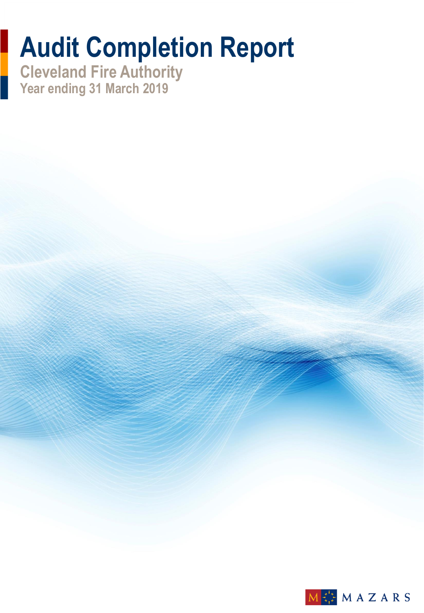# **Audit Completion Report**

**Cleveland Fire Authority Year ending 31 March 2019**

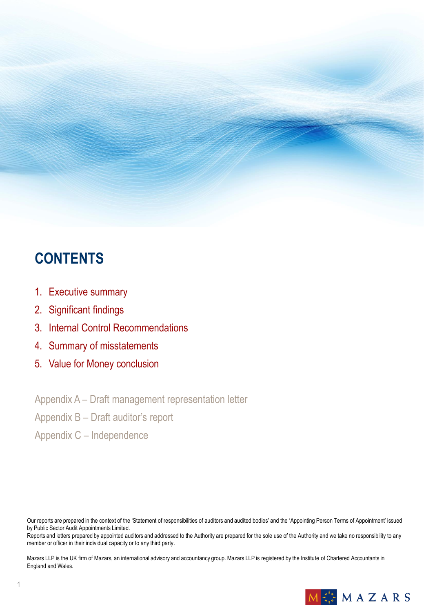# **CONTENTS**

- 1. Executive summary
- 2. Significant findings
- 3. Internal Control Recommendations
- 4. Summary of misstatements
- 5. Value for Money conclusion

Appendix A – Draft management representation letter

Appendix B – Draft auditor's report

Appendix C – Independence

Our reports are prepared in the context of the 'Statement of responsibilities of auditors and audited bodies' and the 'Appointing Person Terms of Appointment' issued by Public Sector Audit Appointments Limited.

Reports and letters prepared by appointed auditors and addressed to the Authority are prepared for the sole use of the Authority and we take no responsibility to any member or officer in their individual capacity or to any third party.

Mazars LLP is the UK firm of Mazars, an international advisory and accountancy group. Mazars LLP is registered by the Institute of Chartered Accountants in England and Wales.

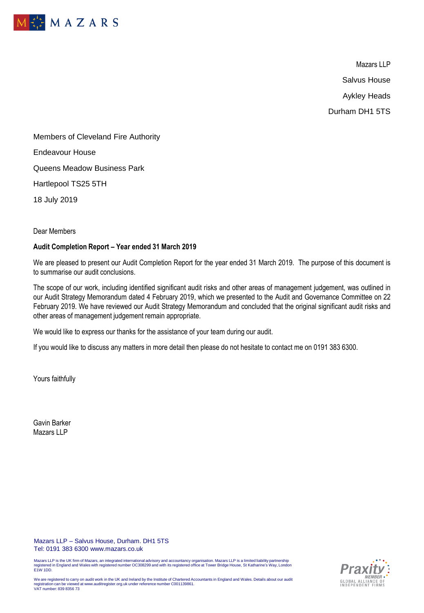

Mazars LLP Salvus House Aykley Heads Durham DH1 5TS

Members of Cleveland Fire Authority Endeavour House Queens Meadow Business Park Hartlepool TS25 5TH 18 July 2019

Dear Members

### **Audit Completion Report – Year ended 31 March 2019**

We are pleased to present our Audit Completion Report for the year ended 31 March 2019. The purpose of this document is to summarise our audit conclusions.

The scope of our work, including identified significant audit risks and other areas of management judgement, was outlined in our Audit Strategy Memorandum dated 4 February 2019, which we presented to the Audit and Governance Committee on 22 February 2019. We have reviewed our Audit Strategy Memorandum and concluded that the original significant audit risks and other areas of management judgement remain appropriate.

We would like to express our thanks for the assistance of your team during our audit.

If you would like to discuss any matters in more detail then please do not hesitate to contact me on 0191 383 6300.

Yours faithfully

Gavin Barker Mazars LLP

Mazars LLP – Salvus House, Durham. DH1 5TS Tel: 0191 383 6300 www.mazars.co.uk

Mazars LLP is the UK firm of Mazars, an integrated international advisory and accountancy organisation. Mazars LLP is a limited liability partnership<br>registered in England and Wales with registered number OC308299 and with



We are registered to carry on audit work in the UK and Ireland by the Institute of Chartered Accountants in England and Wales. Details about our audit registration can be viewed at www.auditregister.org.uk under reference number C001139861. VAT number: 839 8356 73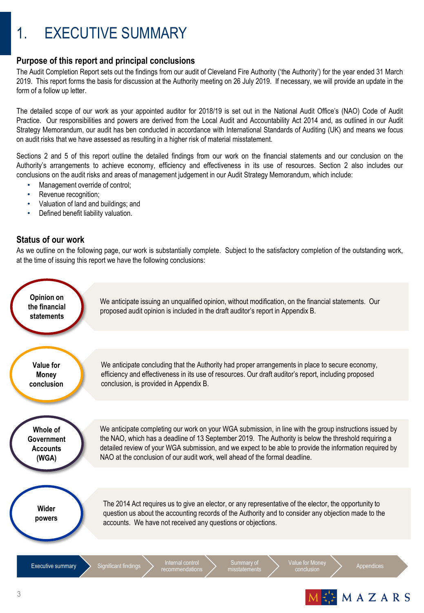# 1. EXECUTIVE SUMMARY

# **Purpose of this report and principal conclusions**

The Audit Completion Report sets out the findings from our audit of Cleveland Fire Authority ('the Authority') for the year ended 31 March 2019. This report forms the basis for discussion at the Authority meeting on 26 July 2019. If necessary, we will provide an update in the form of a follow up letter.

The detailed scope of our work as your appointed auditor for 2018/19 is set out in the National Audit Office's (NAO) Code of Audit Practice. Our responsibilities and powers are derived from the Local Audit and Accountability Act 2014 and, as outlined in our Audit Strategy Memorandum, our audit has ben conducted in accordance with International Standards of Auditing (UK) and means we focus on audit risks that we have assessed as resulting in a higher risk of material misstatement.

Sections 2 and 5 of this report outline the detailed findings from our work on the financial statements and our conclusion on the Authority's arrangements to achieve economy, efficiency and effectiveness in its use of resources. Section 2 also includes our conclusions on the audit risks and areas of management judgement in our Audit Strategy Memorandum, which include:

- Management override of control;
- Revenue recognition;
- Valuation of land and buildings; and
- Defined benefit liability valuation.

# **Status of our work**

As we outline on the following page, our work is substantially complete. Subject to the satisfactory completion of the outstanding work, at the time of issuing this report we have the following conclusions:



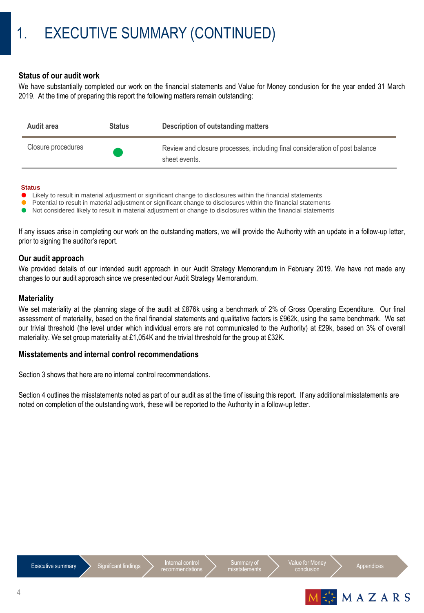# **Status of our audit work**

We have substantially completed our work on the financial statements and Value for Money conclusion for the year ended 31 March 2019. At the time of preparing this report the following matters remain outstanding:

| Audit area         | <b>Status</b> | Description of outstanding matters                                                           |
|--------------------|---------------|----------------------------------------------------------------------------------------------|
| Closure procedures |               | Review and closure processes, including final consideration of post balance<br>sheet events. |

#### **Status**

- Likely to result in material adjustment or significant change to disclosures within the financial statements
- Potential to result in material adjustment or significant change to disclosures within the financial statements
- Not considered likely to result in material adjustment or change to disclosures within the financial statements

If any issues arise in completing our work on the outstanding matters, we will provide the Authority with an update in a follow-up letter, prior to signing the auditor's report.

### **Our audit approach**

We provided details of our intended audit approach in our Audit Strategy Memorandum in February 2019. We have not made any changes to our audit approach since we presented our Audit Strategy Memorandum.

### **Materiality**

We set materiality at the planning stage of the audit at £876k using a benchmark of 2% of Gross Operating Expenditure. Our final assessment of materiality, based on the final financial statements and qualitative factors is £962k, using the same benchmark. We set our trivial threshold (the level under which individual errors are not communicated to the Authority) at £29k, based on 3% of overall materiality. We set group materiality at £1,054K and the trivial threshold for the group at £32K.

### **Misstatements and internal control recommendations**

Section 3 shows that here are no internal control recommendations.

Section 4 outlines the misstatements noted as part of our audit as at the time of issuing this report. If any additional misstatements are noted on completion of the outstanding work, these will be reported to the Authority in a follow-up letter.





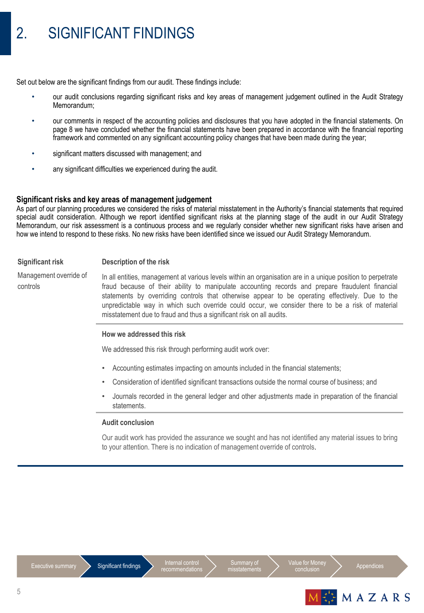# 2. SIGNIFICANT FINDINGS

Set out below are the significant findings from our audit. These findings include:

- our audit conclusions regarding significant risks and key areas of management judgement outlined in the Audit Strategy Memorandum;
- our comments in respect of the accounting policies and disclosures that you have adopted in the financial statements. On page 8 we have concluded whether the financial statements have been prepared in accordance with the financial reporting framework and commented on any significant accounting policy changes that have been made during the year;
- significant matters discussed with management; and
- any significant difficulties we experienced during the audit.

### **Significant risks and key areas of management judgement**

As part of our planning procedures we considered the risks of material misstatement in the Authority's financial statements that required special audit consideration. Although we report identified significant risks at the planning stage of the audit in our Audit Strategy Memorandum, our risk assessment is a continuous process and we regularly consider whether new significant risks have arisen and how we intend to respond to these risks. No new risks have been identified since we issued our Audit Strategy Memorandum.

#### **Significant risk Description of the risk**

Management override of controls In all entities, management at various levels within an organisation are in a unique position to perpetrate fraud because of their ability to manipulate accounting records and prepare fraudulent financial statements by overriding controls that otherwise appear to be operating effectively. Due to the unpredictable way in which such override could occur, we consider there to be a risk of material misstatement due to fraud and thus a significant risk on all audits.

### **How we addressed this risk**

We addressed this risk through performing audit work over:

- Accounting estimates impacting on amounts included in the financial statements;
- Consideration of identified significant transactions outside the normal course of business; and
- Journals recorded in the general ledger and other adjustments made in preparation of the financial statements.

#### **Audit conclusion**

Our audit work has provided the assurance we sought and has not identified any material issues to bring to your attention. There is no indication of management override of controls.





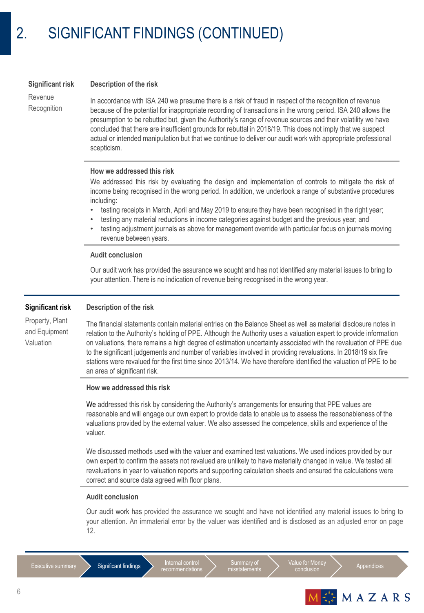#### **Significant risk Description of the risk**

Revenue **Recognition** 

In accordance with ISA 240 we presume there is a risk of fraud in respect of the recognition of revenue because of the potential for inappropriate recording of transactions in the wrong period. ISA 240 allows the presumption to be rebutted but, given the Authority's range of revenue sources and their volatility we have concluded that there are insufficient grounds for rebuttal in 2018/19. This does not imply that we suspect actual or intended manipulation but that we continue to deliver our audit work with appropriate professional scepticism.

### **How we addressed this risk**

We addressed this risk by evaluating the design and implementation of controls to mitigate the risk of income being recognised in the wrong period. In addition, we undertook a range of substantive procedures including:

- testing receipts in March, April and May 2019 to ensure they have been recognised in the right year;
- testing any material reductions in income categories against budget and the previous year; and
- testing adjustment journals as above for management override with particular focus on journals moving revenue between years.

#### **Audit conclusion**

Our audit work has provided the assurance we sought and has not identified any material issues to bring to your attention. There is no indication of revenue being recognised in the wrong year.

#### **Significant risk Description of the risk**

Property, Plant and Equipment Valuation

The financial statements contain material entries on the Balance Sheet as well as material disclosure notes in relation to the Authority's holding of PPE. Although the Authority uses a valuation expert to provide information on valuations, there remains a high degree of estimation uncertainty associated with the revaluation of PPE due to the significant judgements and number of variables involved in providing revaluations. In 2018/19 six fire stations were revalued for the first time since 2013/14. We have therefore identified the valuation of PPE to be an area of significant risk.

#### **How we addressed this risk**

We addressed this risk by considering the Authority's arrangements for ensuring that PPE values are reasonable and will engage our own expert to provide data to enable us to assess the reasonableness of the valuations provided by the external valuer. We also assessed the competence, skills and experience of the valuer.

We discussed methods used with the valuer and examined test valuations. We used indices provided by our own expert to confirm the assets not revalued are unlikely to have materially changed in value. We tested all revaluations in year to valuation reports and supporting calculation sheets and ensured the calculations were correct and source data agreed with floor plans.

#### **Audit conclusion**

Our audit work has provided the assurance we sought and have not identified any material issues to bring to your attention. An immaterial error by the valuer was identified and is disclosed as an adjusted error on page 12.

Executive summary Significant findings Internal control<br>
recommendations

Summary of misstatements Value for Money<br>
conclusion
<br>
appendices

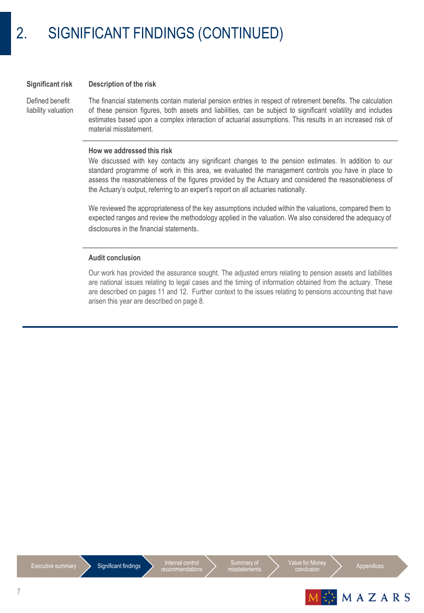#### **Significant risk Description of the risk**

Defined benefit liability valuation The financial statements contain material pension entries in respect of retirement benefits. The calculation of these pension figures, both assets and liabilities, can be subject to significant volatility and includes estimates based upon a complex interaction of actuarial assumptions. This results in an increased risk of material misstatement.

### **How we addressed this risk**

We discussed with key contacts any significant changes to the pension estimates. In addition to our standard programme of work in this area, we evaluated the management controls you have in place to assess the reasonableness of the figures provided by the Actuary and considered the reasonableness of the Actuary's output, referring to an expert's report on all actuaries nationally.

We reviewed the appropriateness of the key assumptions included within the valuations, compared them to expected ranges and review the methodology applied in the valuation. We also considered the adequacy of disclosures in the financial statements.

### **Audit conclusion**

Our work has provided the assurance sought. The adjusted errors relating to pension assets and liabilities are national issues relating to legal cases and the timing of information obtained from the actuary. These are described on pages 11 and 12. Further context to the issues relating to pensions accounting that have arisen this year are described on page 8.





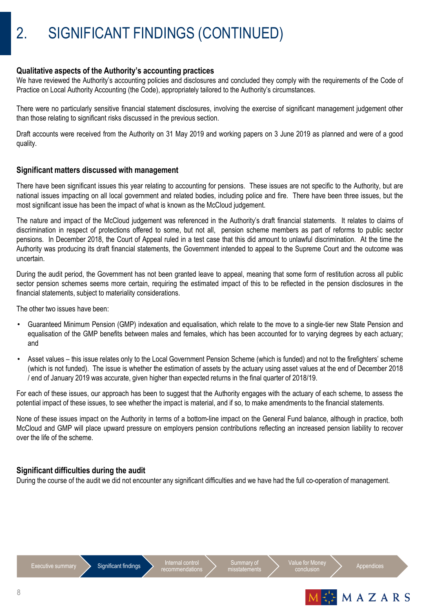### **Qualitative aspects of the Authority's accounting practices**

We have reviewed the Authority's accounting policies and disclosures and concluded they comply with the requirements of the Code of Practice on Local Authority Accounting (the Code), appropriately tailored to the Authority's circumstances.

There were no particularly sensitive financial statement disclosures, involving the exercise of significant management judgement other than those relating to significant risks discussed in the previous section.

Draft accounts were received from the Authority on 31 May 2019 and working papers on 3 June 2019 as planned and were of a good quality.

### **Significant matters discussed with management**

There have been significant issues this year relating to accounting for pensions. These issues are not specific to the Authority, but are national issues impacting on all local government and related bodies, including police and fire. There have been three issues, but the most significant issue has been the impact of what is known as the McCloud judgement.

The nature and impact of the McCloud judgement was referenced in the Authority's draft financial statements. It relates to claims of discrimination in respect of protections offered to some, but not all, pension scheme members as part of reforms to public sector pensions. In December 2018, the Court of Appeal ruled in a test case that this did amount to unlawful discrimination. At the time the Authority was producing its draft financial statements, the Government intended to appeal to the Supreme Court and the outcome was uncertain.

During the audit period, the Government has not been granted leave to appeal, meaning that some form of restitution across all public sector pension schemes seems more certain, requiring the estimated impact of this to be reflected in the pension disclosures in the financial statements, subject to materiality considerations.

The other two issues have been:

- Guaranteed Minimum Pension (GMP) indexation and equalisation, which relate to the move to a single-tier new State Pension and equalisation of the GMP benefits between males and females, which has been accounted for to varying degrees by each actuary; and
- Asset values this issue relates only to the Local Government Pension Scheme (which is funded) and not to the firefighters' scheme (which is not funded). The issue is whether the estimation of assets by the actuary using asset values at the end of December 2018 / end of January 2019 was accurate, given higher than expected returns in the final quarter of 2018/19.

For each of these issues, our approach has been to suggest that the Authority engages with the actuary of each scheme, to assess the potential impact of these issues, to see whether the impact is material, and if so, to make amendments to the financial statements.

None of these issues impact on the Authority in terms of a bottom-line impact on the General Fund balance, although in practice, both McCloud and GMP will place upward pressure on employers pension contributions reflecting an increased pension liability to recover over the life of the scheme.

### **Significant difficulties during the audit**

During the course of the audit we did not encounter any significant difficulties and we have had the full co-operation of management.





Appendices

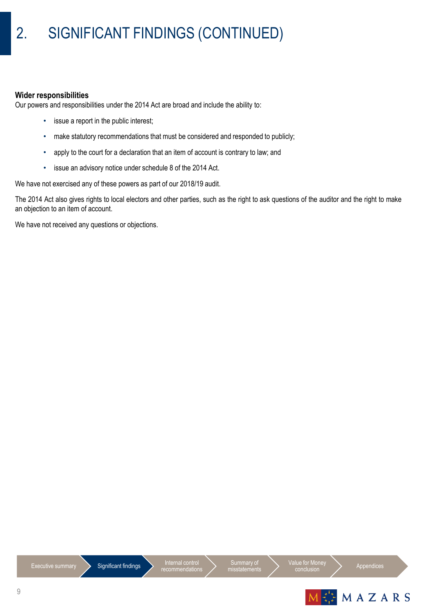## **Wider responsibilities**

Our powers and responsibilities under the 2014 Act are broad and include the ability to:

- issue a report in the public interest;
- make statutory recommendations that must be considered and responded to publicly;
- apply to the court for a declaration that an item of account is contrary to law; and
- issue an advisory notice under schedule 8 of the 2014 Act.

We have not exercised any of these powers as part of our 2018/19 audit.

The 2014 Act also gives rights to local electors and other parties, such as the right to ask questions of the auditor and the right to make an objection to an item of account.

We have not received any questions or objections.

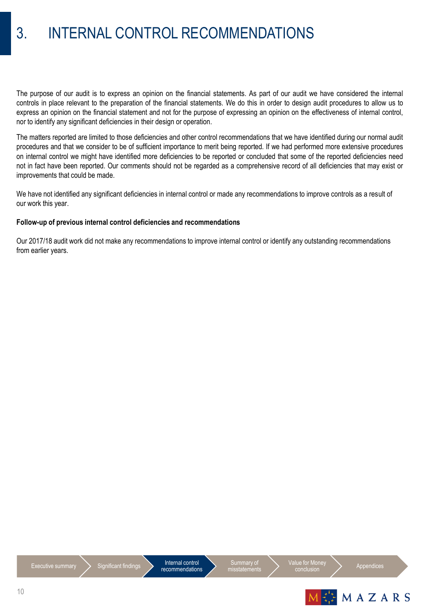# 3. INTERNAL CONTROL RECOMMENDATIONS

The purpose of our audit is to express an opinion on the financial statements. As part of our audit we have considered the internal controls in place relevant to the preparation of the financial statements. We do this in order to design audit procedures to allow us to express an opinion on the financial statement and not for the purpose of expressing an opinion on the effectiveness of internal control, nor to identify any significant deficiencies in their design or operation.

The matters reported are limited to those deficiencies and other control recommendations that we have identified during our normal audit procedures and that we consider to be of sufficient importance to merit being reported. If we had performed more extensive procedures on internal control we might have identified more deficiencies to be reported or concluded that some of the reported deficiencies need not in fact have been reported. Our comments should not be regarded as a comprehensive record of all deficiencies that may exist or improvements that could be made.

We have not identified any significant deficiencies in internal control or made any recommendations to improve controls as a result of our work this year.

### **Follow-up of previous internal control deficiencies and recommendations**

Our 2017/18 audit work did not make any recommendations to improve internal control or identify any outstanding recommendations from earlier years.



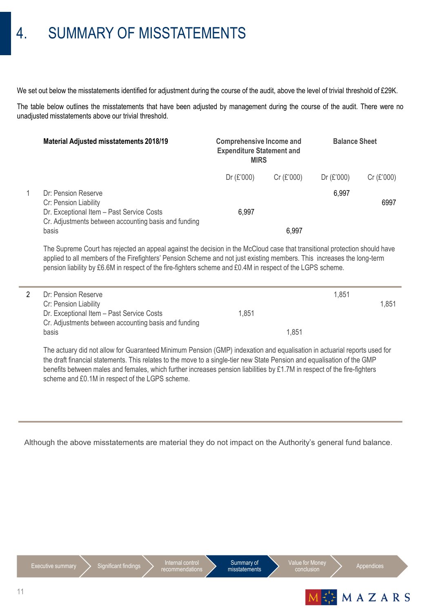# 4. SUMMARY OF MISSTATEMENTS

We set out below the misstatements identified for adjustment during the course of the audit, above the level of trivial threshold of £29K.

The table below outlines the misstatements that have been adjusted by management during the course of the audit. There were no unadjusted misstatements above our trivial threshold.

| <b>Material Adjusted misstatements 2018/19</b>                                                                                                    | <b>Comprehensive Income and</b><br><b>Expenditure Statement and</b><br><b>MIRS</b> |           | <b>Balance Sheet</b> |           |
|---------------------------------------------------------------------------------------------------------------------------------------------------|------------------------------------------------------------------------------------|-----------|----------------------|-----------|
|                                                                                                                                                   | Dr (£'000)                                                                         | Cr(E'000) | Dr (£'000)           | Cr(E'000) |
| Dr: Pension Reserve<br>Cr: Pension Liability<br>Dr. Exceptional Item - Past Service Costs<br>Cr. Adjustments between accounting basis and funding | 6.997                                                                              |           | 6,997                | 6997      |
| basis                                                                                                                                             |                                                                                    | 6.997     |                      |           |

The Supreme Court has rejected an appeal against the decision in the McCloud case that transitional protection should have applied to all members of the Firefighters' Pension Scheme and not just existing members. This increases the long-term pension liability by £6.6M in respect of the fire-fighters scheme and £0.4M in respect of the LGPS scheme.

| Dr: Pension Reserve                                  |       |       | 1.851 |       |
|------------------------------------------------------|-------|-------|-------|-------|
| Cr: Pension Liability                                |       |       |       | 1.851 |
| Dr. Exceptional Item - Past Service Costs            | 1.851 |       |       |       |
| Cr. Adjustments between accounting basis and funding |       |       |       |       |
| basis                                                |       | 1.851 |       |       |
|                                                      |       |       |       |       |

The actuary did not allow for Guaranteed Minimum Pension (GMP) indexation and equalisation in actuarial reports used for the draft financial statements. This relates to the move to a single-tier new State Pension and equalisation of the GMP benefits between males and females, which further increases pension liabilities by £1.7M in respect of the fire-fighters scheme and £0.1M in respect of the LGPS scheme.

Although the above misstatements are material they do not impact on the Authority's general fund balance.







Value for Mone conclusion Appendices

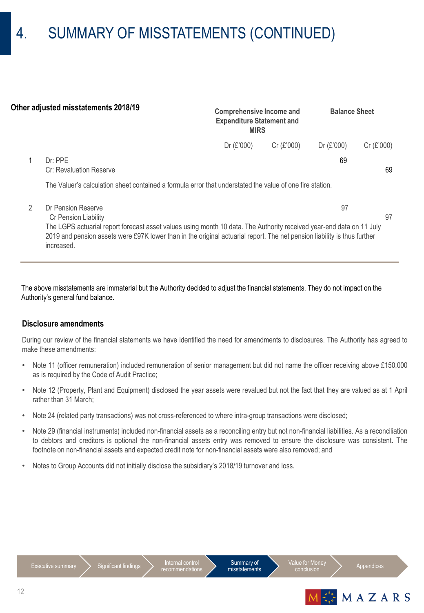# 4. SUMMARY OF MISSTATEMENTS (CONTINUED)

| Other adjusted misstatements 2018/19 |                                                                                                                                                                                                                                                                | <b>Comprehensive Income and</b><br><b>Expenditure Statement and</b><br><b>MIRS</b> |            | <b>Balance Sheet</b> |           |
|--------------------------------------|----------------------------------------------------------------------------------------------------------------------------------------------------------------------------------------------------------------------------------------------------------------|------------------------------------------------------------------------------------|------------|----------------------|-----------|
|                                      |                                                                                                                                                                                                                                                                | Dr (£'000)                                                                         | Cr (£'000) | Dr (£'000)           | Cr(E'000) |
|                                      | Dr: PPE<br>Cr: Revaluation Reserve                                                                                                                                                                                                                             |                                                                                    |            | 69                   | 69        |
|                                      | The Valuer's calculation sheet contained a formula error that understated the value of one fire station.                                                                                                                                                       |                                                                                    |            |                      |           |
| 2                                    | Dr Pension Reserve<br>Cr Pension Liability                                                                                                                                                                                                                     |                                                                                    |            | 97                   | 97        |
|                                      | The LGPS actuarial report forecast asset values using month 10 data. The Authority received year-end data on 11 July<br>2019 and pension assets were £97K lower than in the original actuarial report. The net pension liability is thus further<br>increased. |                                                                                    |            |                      |           |

The above misstatements are immaterial but the Authority decided to adjust the financial statements. They do not impact on the Authority's general fund balance.

### **Disclosure amendments**

During our review of the financial statements we have identified the need for amendments to disclosures. The Authority has agreed to make these amendments:

- Note 11 (officer remuneration) included remuneration of senior management but did not name the officer receiving above £150,000 as is required by the Code of Audit Practice;
- Note 12 (Property, Plant and Equipment) disclosed the year assets were revalued but not the fact that they are valued as at 1 April rather than 31 March;
- Note 24 (related party transactions) was not cross-referenced to where intra-group transactions were disclosed;
- Note 29 (financial instruments) included non-financial assets as a reconciling entry but not non-financial liabilities. As a reconciliation to debtors and creditors is optional the non-financial assets entry was removed to ensure the disclosure was consistent. The footnote on non-financial assets and expected credit note for non-financial assets were also removed; and
- Notes to Group Accounts did not initially disclose the subsidiary's 2018/19 turnover and loss.





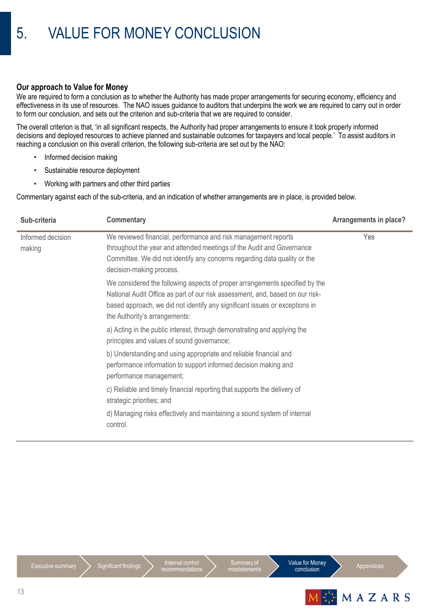# **Our approach to Value for Money**

We are required to form a conclusion as to whether the Authority has made proper arrangements for securing economy, efficiency and effectiveness in its use of resources. The NAO issues guidance to auditors that underpins the work we are required to carry out in order to form our conclusion, and sets out the criterion and sub-criteria that we are required to consider.

The overall criterion is that, 'in all significant respects, the Authority had proper arrangements to ensure it took properly informed decisions and deployed resources to achieve planned and sustainable outcomes for taxpayers and local people.' To assist auditors in reaching a conclusion on this overall criterion, the following sub-criteria are set out by the NAO:

- Informed decision making
- Sustainable resource deployment
- Working with partners and other third parties

Commentary against each of the sub-criteria, and an indication of whether arrangements are in place, is provided below.

| Sub-criteria                | <b>Commentary</b>                                                                                                                                                                                                                                                            | Arrangements in place? |
|-----------------------------|------------------------------------------------------------------------------------------------------------------------------------------------------------------------------------------------------------------------------------------------------------------------------|------------------------|
| Informed decision<br>making | We reviewed financial, performance and risk management reports<br>throughout the year and attended meetings of the Audit and Governance<br>Committee. We did not identify any concerns regarding data quality or the<br>decision-making process.                             | Yes                    |
|                             | We considered the following aspects of proper arrangements specified by the<br>National Audit Office as part of our risk assessment, and, based on our risk-<br>based approach, we did not identify any significant issues or exceptions in<br>the Authority's arrangements: |                        |
|                             | a) Acting in the public interest, through demonstrating and applying the<br>principles and values of sound governance;                                                                                                                                                       |                        |
|                             | b) Understanding and using appropriate and reliable financial and<br>performance information to support informed decision making and<br>performance management;                                                                                                              |                        |
|                             | c) Reliable and timely financial reporting that supports the delivery of<br>strategic priorities; and                                                                                                                                                                        |                        |
|                             | d) Managing risks effectively and maintaining a sound system of internal<br>control.                                                                                                                                                                                         |                        |



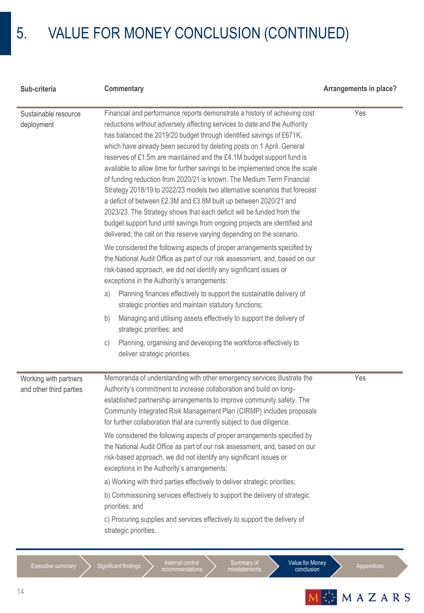# 5. VALUE FOR MONEY CONCLUSION (CONTINUED)

| Sub-criteria                                     | Commentary                                                                                                                                                                                                                                                                                                                                                                                                                                                                                                                                                                                                                                                                                                                                                                                                                                                                                                                                                                                                                                                                                                                                                                                                                                                                                                                                                                                                                                                                                                                                                                 | Arrangements in place? |
|--------------------------------------------------|----------------------------------------------------------------------------------------------------------------------------------------------------------------------------------------------------------------------------------------------------------------------------------------------------------------------------------------------------------------------------------------------------------------------------------------------------------------------------------------------------------------------------------------------------------------------------------------------------------------------------------------------------------------------------------------------------------------------------------------------------------------------------------------------------------------------------------------------------------------------------------------------------------------------------------------------------------------------------------------------------------------------------------------------------------------------------------------------------------------------------------------------------------------------------------------------------------------------------------------------------------------------------------------------------------------------------------------------------------------------------------------------------------------------------------------------------------------------------------------------------------------------------------------------------------------------------|------------------------|
| Sustainable resource<br>deployment               | Financial and performance reports demonstrate a history of achieving cost<br>reductions without adversely affecting services to date and the Authority<br>has balanced the 2019/20 budget through identified savings of £671K,<br>which have already been secured by deleting posts on 1 April. General<br>reserves of £1.5m are maintained and the £4.1M budget support fund is<br>available to allow time for further savings to be implemented once the scale<br>of funding reduction from 2020/21 is known. The Medium Term Financial<br>Strategy 2018/19 to 2022/23 models two alternative scenarios that forecast<br>a deficit of between £2.3M and £3.8M built up between 2020/21 and<br>2023/23. The Strategy shows that each deficit will be funded from the<br>budget support fund until savings from ongoing projects are identified and<br>delivered; the call on this reserve varying depending on the scenario.<br>We considered the following aspects of proper arrangements specified by<br>the National Audit Office as part of our risk assessment, and, based on our<br>risk-based approach, we did not identify any significant issues or<br>exceptions in the Authority's arrangements:<br>Planning finances effectively to support the sustainable delivery of<br>a)<br>strategic priorities and maintain statutory functions;<br>Managing and utilising assets effectively to support the delivery of<br>b)<br>strategic priorities; and<br>Planning, organising and developing the workforce effectively to<br>C)<br>deliver strategic priorities. | Yes                    |
| Working with partners<br>and other third parties | Memoranda of understanding with other emergency services illustrate the<br>Authority's commitment to increase collaboration and build on long-<br>established partnership arrangements to improve community safety. The<br>Community Integrated Risk Management Plan (CIRMP) includes proposals<br>for further collaboration that are currently subject to due diligence.<br>We considered the following aspects of proper arrangements specified by<br>the National Audit Office as part of our risk assessment, and, based on our<br>risk-based approach, we did not identify any significant issues or<br>exceptions in the Authority's arrangements:<br>a) Working with third parties effectively to deliver strategic priorities;<br>b) Commissioning services effectively to support the delivery of strategic<br>priorities; and<br>c) Procuring supplies and services effectively to support the delivery of<br>strategic priorities.                                                                                                                                                                                                                                                                                                                                                                                                                                                                                                                                                                                                                              | Yes                    |

Internal control<br>recommendations

Summary of misstatements

Appendices

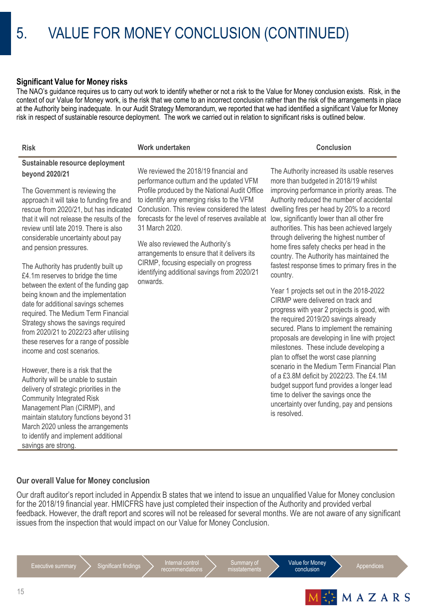## **Significant Value for Money risks**

The NAO's guidance requires us to carry out work to identify whether or not a risk to the Value for Money conclusion exists. Risk, in the context of our Value for Money work, is the risk that we come to an incorrect conclusion rather than the risk of the arrangements in place at the Authority being inadequate. In our Audit Strategy Memorandum, we reported that we had identified a significant Value for Money risk in respect of sustainable resource deployment. The work we carried out in relation to significant risks is outlined below.

| <b>Risk</b>                                                                                                                                                                                                                                                                                                                                                                                                                | Work undertaken                                                                                                                                                                                                                                                                                       | <b>Conclusion</b>                                                                                                                                                                                                                                                                                                                                                                                                                                                   |
|----------------------------------------------------------------------------------------------------------------------------------------------------------------------------------------------------------------------------------------------------------------------------------------------------------------------------------------------------------------------------------------------------------------------------|-------------------------------------------------------------------------------------------------------------------------------------------------------------------------------------------------------------------------------------------------------------------------------------------------------|---------------------------------------------------------------------------------------------------------------------------------------------------------------------------------------------------------------------------------------------------------------------------------------------------------------------------------------------------------------------------------------------------------------------------------------------------------------------|
| Sustainable resource deployment<br>beyond 2020/21<br>The Government is reviewing the<br>approach it will take to funding fire and<br>rescue from 2020/21, but has indicated<br>that it will not release the results of the<br>review until late 2019. There is also<br>considerable uncertainty about pay                                                                                                                  | We reviewed the 2018/19 financial and<br>performance outturn and the updated VFM<br>Profile produced by the National Audit Office<br>to identify any emerging risks to the VFM<br>Conclusion. This review considered the latest<br>forecasts for the level of reserves available at<br>31 March 2020. | The Authority increased its usable reserves<br>more than budgeted in 2018/19 whilst<br>improving performance in priority areas. The<br>Authority reduced the number of accidental<br>dwelling fires per head by 20% to a record<br>low, significantly lower than all other fire<br>authorities. This has been achieved largely<br>through delivering the highest number of                                                                                          |
| and pension pressures.<br>The Authority has prudently built up<br>£4.1m reserves to bridge the time<br>between the extent of the funding gap<br>being known and the implementation<br>date for additional savings schemes<br>required. The Medium Term Financial<br>Strategy shows the savings required<br>from 2020/21 to 2022/23 after utilising<br>these reserves for a range of possible<br>income and cost scenarios. | We also reviewed the Authority's<br>arrangements to ensure that it delivers its<br>CIRMP, focusing especially on progress<br>identifying additional savings from 2020/21<br>onwards.                                                                                                                  | home fires safety checks per head in the<br>country. The Authority has maintained the<br>fastest response times to primary fires in the<br>country.<br>Year 1 projects set out in the 2018-2022<br>CIRMP were delivered on track and<br>progress with year 2 projects is good, with<br>the required 2019/20 savings already<br>secured. Plans to implement the remaining<br>proposals are developing in line with project<br>milestones. These include developing a |
| However, there is a risk that the<br>Authority will be unable to sustain<br>delivery of strategic priorities in the<br>Community Integrated Risk<br>Management Plan (CIRMP), and<br>maintain statutory functions beyond 31<br>March 2020 unless the arrangements<br>to identify and implement additional<br>savings are strong.                                                                                            |                                                                                                                                                                                                                                                                                                       | plan to offset the worst case planning<br>scenario in the Medium Term Financial Plan<br>of a £3.8M deficit by 2022/23. The £4.1M<br>budget support fund provides a longer lead<br>time to deliver the savings once the<br>uncertainty over funding, pay and pensions<br>is resolved.                                                                                                                                                                                |

# **Our overall Value for Money conclusion**

Our draft auditor's report included in Appendix B states that we intend to issue an unqualified Value for Money conclusion for the 2018/19 financial year. HMICFRS have just completed their inspection of the Authority and provided verbal feedback. However, the draft report and scores will not be released for several months. We are not aware of any significant issues from the inspection that would impact on our Value for Money Conclusion.

Executive summary  $\sum$  Significant findings  $\sum$  Internal control



Value for Money nue for Morley<br>
conclusion
<br>
and the Appendices

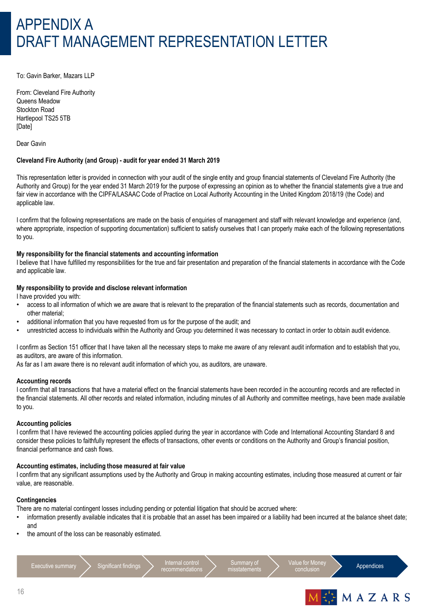# APPENDIX A DRAFT MANAGEMENT REPRESENTATION LETTER

To: Gavin Barker, Mazars LLP

From: Cleveland Fire Authority Queens Meadow Stockton Road Hartlepool TS25 5TB [Date]

Dear Gavin

#### **Cleveland Fire Authority (and Group) - audit for year ended 31 March 2019**

This representation letter is provided in connection with your audit of the single entity and group financial statements of Cleveland Fire Authority (the Authority and Group) for the year ended 31 March 2019 for the purpose of expressing an opinion as to whether the financial statements give a true and fair view in accordance with the CIPFA/LASAAC Code of Practice on Local Authority Accounting in the United Kingdom 2018/19 (the Code) and applicable law.

I confirm that the following representations are made on the basis of enquiries of management and staff with relevant knowledge and experience (and, where appropriate, inspection of supporting documentation) sufficient to satisfy ourselves that I can properly make each of the following representations to you.

#### **My responsibility for the financial statements and accounting information**

I believe that I have fulfilled my responsibilities for the true and fair presentation and preparation of the financial statements in accordance with the Code and applicable law.

#### **My responsibility to provide and disclose relevant information**

I have provided you with:

- access to all information of which we are aware that is relevant to the preparation of the financial statements such as records, documentation and other material;
- additional information that you have requested from us for the purpose of the audit; and
- unrestricted access to individuals within the Authority and Group you determined it was necessary to contact in order to obtain audit evidence.

I confirm as Section 151 officer that I have taken all the necessary steps to make me aware of any relevant audit information and to establish that you, as auditors, are aware of this information.

As far as I am aware there is no relevant audit information of which you, as auditors, are unaware.

#### **Accounting records**

I confirm that all transactions that have a material effect on the financial statements have been recorded in the accounting records and are reflected in the financial statements. All other records and related information, including minutes of all Authority and committee meetings, have been made available to you.

#### **Accounting policies**

I confirm that I have reviewed the accounting policies applied during the year in accordance with Code and International Accounting Standard 8 and consider these policies to faithfully represent the effects of transactions, other events or conditions on the Authority and Group's financial position, financial performance and cash flows.

#### **Accounting estimates, including those measured at fair value**

I confirm that any significant assumptions used by the Authority and Group in making accounting estimates, including those measured at current or fair value, are reasonable.

#### **Contingencies**

There are no material contingent losses including pending or potential litigation that should be accrued where:

- information presently available indicates that it is probable that an asset has been impaired or a liability had been incurred at the balance sheet date; and
- the amount of the loss can be reasonably estimated.

Executive summary  $\sum$  Significant findings  $\sum$  Internal control

recommendation

Summary of misstatements



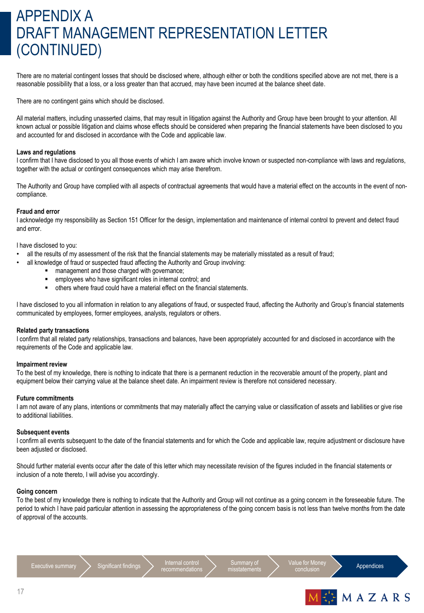# APPENDIX A DRAFT MANAGEMENT REPRESENTATION LETTER (CONTINUED)

There are no material contingent losses that should be disclosed where, although either or both the conditions specified above are not met, there is a reasonable possibility that a loss, or a loss greater than that accrued, may have been incurred at the balance sheet date.

There are no contingent gains which should be disclosed.

All material matters, including unasserted claims, that may result in litigation against the Authority and Group have been brought to your attention. All known actual or possible litigation and claims whose effects should be considered when preparing the financial statements have been disclosed to you and accounted for and disclosed in accordance with the Code and applicable law.

#### **Laws and regulations**

I confirm that I have disclosed to you all those events of which I am aware which involve known or suspected non-compliance with laws and regulations, together with the actual or contingent consequences which may arise therefrom.

The Authority and Group have complied with all aspects of contractual agreements that would have a material effect on the accounts in the event of noncompliance.

#### **Fraud and error**

I acknowledge my responsibility as Section 151 Officer for the design, implementation and maintenance of internal control to prevent and detect fraud and error.

I have disclosed to you:

- all the results of my assessment of the risk that the financial statements may be materially misstated as a result of fraud;
- all knowledge of fraud or suspected fraud affecting the Authority and Group involving:
	- **EXEC** management and those charged with governance;
	- **EXECUTE:** employees who have significant roles in internal control; and
	- others where fraud could have a material effect on the financial statements.

I have disclosed to you all information in relation to any allegations of fraud, or suspected fraud, affecting the Authority and Group's financial statements communicated by employees, former employees, analysts, regulators or others.

#### **Related party transactions**

I confirm that all related party relationships, transactions and balances, have been appropriately accounted for and disclosed in accordance with the requirements of the Code and applicable law.

#### **Impairment review**

To the best of my knowledge, there is nothing to indicate that there is a permanent reduction in the recoverable amount of the property, plant and equipment below their carrying value at the balance sheet date. An impairment review is therefore not considered necessary.

#### **Future commitments**

I am not aware of any plans, intentions or commitments that may materially affect the carrying value or classification of assets and liabilities or give rise to additional liabilities.

#### **Subsequent events**

I confirm all events subsequent to the date of the financial statements and for which the Code and applicable law, require adjustment or disclosure have been adjusted or disclosed.

Should further material events occur after the date of this letter which may necessitate revision of the figures included in the financial statements or inclusion of a note thereto, I will advise you accordingly.

#### **Going concern**

To the best of my knowledge there is nothing to indicate that the Authority and Group will not continue as a going concern in the foreseeable future. The period to which I have paid particular attention in assessing the appropriateness of the going concern basis is not less than twelve months from the date of approval of the accounts.

recommendations



Value for Mone lue lor Morley<br>conclusion **Appendices** 

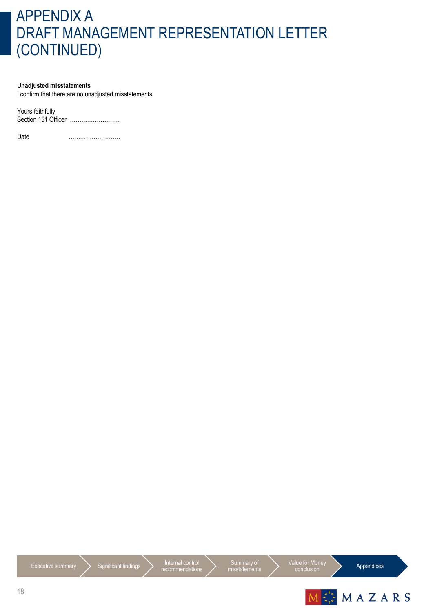# APPENDIX A DRAFT MANAGEMENT REPRESENTATION LETTER (CONTINUED)

#### **Unadjusted misstatements**

I confirm that there are no unadjusted misstatements.

Yours faithfully Section 151 Officer ………………………

Date ………………………





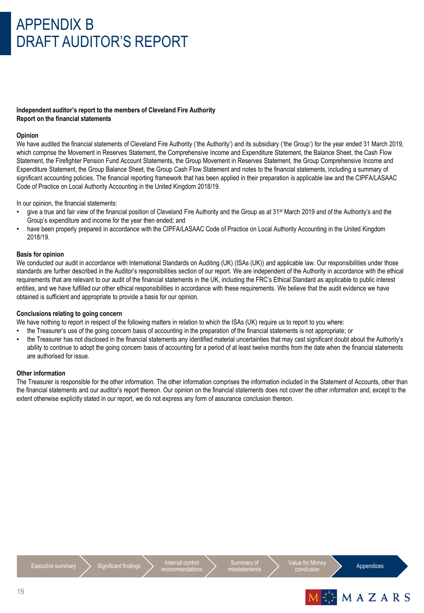# APPENDIX B DRAFT AUDITOR'S REPORT

### **Independent auditor's report to the members of Cleveland Fire Authority Report on the financial statements**

#### **Opinion**

We have audited the financial statements of Cleveland Fire Authority ('the Authority') and its subsidiary ('the Group') for the year ended 31 March 2019, which comprise the Movement in Reserves Statement, the Comprehensive Income and Expenditure Statement, the Balance Sheet, the Cash Flow Statement, the Firefighter Pension Fund Account Statements, the Group Movement in Reserves Statement, the Group Comprehensive Income and Expenditure Statement, the Group Balance Sheet, the Group Cash Flow Statement and notes to the financial statements, including a summary of significant accounting policies. The financial reporting framework that has been applied in their preparation is applicable law and the CIPFA/LASAAC Code of Practice on Local Authority Accounting in the United Kingdom 2018/19.

In our opinion, the financial statements:

- give a true and fair view of the financial position of Cleveland Fire Authority and the Group as at 31<sup>st</sup> March 2019 and of the Authority's and the Group's expenditure and income for the year then ended; and
- have been properly prepared in accordance with the CIPFA/LASAAC Code of Practice on Local Authority Accounting in the United Kingdom 2018/19.

#### **Basis for opinion**

We conducted our audit in accordance with International Standards on Auditing (UK) (ISAs (UK)) and applicable law. Our responsibilities under those standards are further described in the Auditor's responsibilities section of our report. We are independent of the Authority in accordance with the ethical requirements that are relevant to our audit of the financial statements in the UK, including the FRC's Ethical Standard as applicable to public interest entities, and we have fulfilled our other ethical responsibilities in accordance with these requirements. We believe that the audit evidence we have obtained is sufficient and appropriate to provide a basis for our opinion.

#### **Conclusions relating to going concern**

We have nothing to report in respect of the following matters in relation to which the ISAs (UK) require us to report to you where:

- the Treasurer's use of the going concern basis of accounting in the preparation of the financial statements is not appropriate; or
- the Treasurer has not disclosed in the financial statements any identified material uncertainties that may cast significant doubt about the Authority's ability to continue to adopt the going concern basis of accounting for a period of at least twelve months from the date when the financial statements are authorised for issue.

#### **Other information**

The Treasurer is responsible for the other information. The other information comprises the information included in the Statement of Accounts, other than the financial statements and our auditor's report thereon. Our opinion on the financial statements does not cover the other information and, except to the extent otherwise explicitly stated in our report, we do not express any form of assurance conclusion thereon.





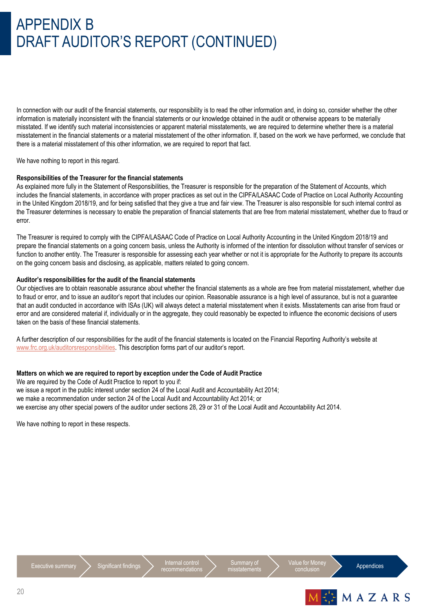# APPENDIX B DRAFT AUDITOR'S REPORT (CONTINUED)

In connection with our audit of the financial statements, our responsibility is to read the other information and, in doing so, consider whether the other information is materially inconsistent with the financial statements or our knowledge obtained in the audit or otherwise appears to be materially misstated. If we identify such material inconsistencies or apparent material misstatements, we are required to determine whether there is a material misstatement in the financial statements or a material misstatement of the other information. If, based on the work we have performed, we conclude that there is a material misstatement of this other information, we are required to report that fact.

We have nothing to report in this regard.

#### **Responsibilities of the Treasurer for the financial statements**

As explained more fully in the Statement of Responsibilities, the Treasurer is responsible for the preparation of the Statement of Accounts, which includes the financial statements, in accordance with proper practices as set out in the CIPFA/LASAAC Code of Practice on Local Authority Accounting in the United Kingdom 2018/19, and for being satisfied that they give a true and fair view. The Treasurer is also responsible for such internal control as the Treasurer determines is necessary to enable the preparation of financial statements that are free from material misstatement, whether due to fraud or error.

The Treasurer is required to comply with the CIPFA/LASAAC Code of Practice on Local Authority Accounting in the United Kingdom 2018/19 and prepare the financial statements on a going concern basis, unless the Authority is informed of the intention for dissolution without transfer of services or function to another entity. The Treasurer is responsible for assessing each year whether or not it is appropriate for the Authority to prepare its accounts on the going concern basis and disclosing, as applicable, matters related to going concern.

### **Auditor's responsibilities for the audit of the financial statements**

Our objectives are to obtain reasonable assurance about whether the financial statements as a whole are free from material misstatement, whether due to fraud or error, and to issue an auditor's report that includes our opinion. Reasonable assurance is a high level of assurance, but is not a guarantee that an audit conducted in accordance with ISAs (UK) will always detect a material misstatement when it exists. Misstatements can arise from fraud or error and are considered material if, individually or in the aggregate, they could reasonably be expected to influence the economic decisions of users taken on the basis of these financial statements.

A further description of our responsibilities for the audit of the financial statements is located on the Financial Reporting Authority's website at [www.frc.org.uk/auditorsresponsibilities](http://www.frc.org.uk/auditorsresponsibilities). This description forms part of our auditor's report.

#### **Matters on which we are required to report by exception under the Code of Audit Practice**

We are required by the Code of Audit Practice to report to you if: we issue a report in the public interest under section 24 of the Local Audit and Accountability Act 2014; we make a recommendation under section 24 of the Local Audit and Accountability Act 2014; or we exercise any other special powers of the auditor under sections 28, 29 or 31 of the Local Audit and Accountability Act 2014.

We have nothing to report in these respects.





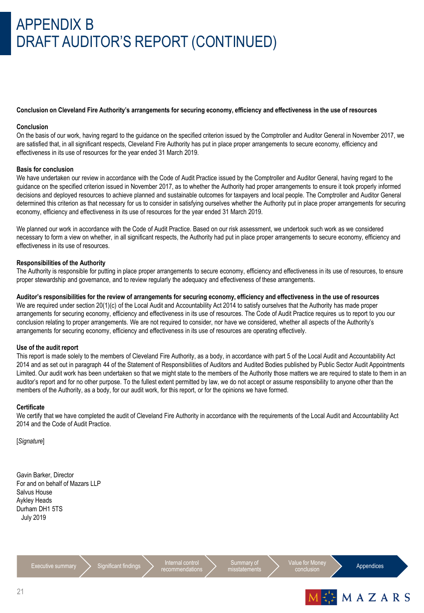# APPENDIX B DRAFT AUDITOR'S REPORT (CONTINUED)

#### **Conclusion on Cleveland Fire Authority's arrangements for securing economy, efficiency and effectiveness in the use of resources**

#### **Conclusion**

On the basis of our work, having regard to the guidance on the specified criterion issued by the Comptroller and Auditor General in November 2017, we are satisfied that, in all significant respects, Cleveland Fire Authority has put in place proper arrangements to secure economy, efficiency and effectiveness in its use of resources for the year ended 31 March 2019.

#### **Basis for conclusion**

We have undertaken our review in accordance with the Code of Audit Practice issued by the Comptroller and Auditor General, having regard to the guidance on the specified criterion issued in November 2017, as to whether the Authority had proper arrangements to ensure it took properly informed decisions and deployed resources to achieve planned and sustainable outcomes for taxpayers and local people. The Comptroller and Auditor General determined this criterion as that necessary for us to consider in satisfying ourselves whether the Authority put in place proper arrangements for securing economy, efficiency and effectiveness in its use of resources for the year ended 31 March 2019.

We planned our work in accordance with the Code of Audit Practice. Based on our risk assessment, we undertook such work as we considered necessary to form a view on whether, in all significant respects, the Authority had put in place proper arrangements to secure economy, efficiency and effectiveness in its use of resources.

#### **Responsibilities of the Authority**

The Authority is responsible for putting in place proper arrangements to secure economy, efficiency and effectiveness in its use of resources, to ensure proper stewardship and governance, and to review regularly the adequacy and effectiveness of these arrangements.

#### **Auditor's responsibilities for the review of arrangements for securing economy, efficiency and effectiveness in the use of resources**

We are required under section 20(1)(c) of the Local Audit and Accountability Act 2014 to satisfy ourselves that the Authority has made proper arrangements for securing economy, efficiency and effectiveness in its use of resources. The Code of Audit Practice requires us to report to you our conclusion relating to proper arrangements. We are not required to consider, nor have we considered, whether all aspects of the Authority's arrangements for securing economy, efficiency and effectiveness in its use of resources are operating effectively.

#### **Use of the audit report**

This report is made solely to the members of Cleveland Fire Authority, as a body, in accordance with part 5 of the Local Audit and Accountability Act 2014 and as set out in paragraph 44 of the Statement of Responsibilities of Auditors and Audited Bodies published by Public Sector Audit Appointments Limited. Our audit work has been undertaken so that we might state to the members of the Authority those matters we are required to state to them in an auditor's report and for no other purpose. To the fullest extent permitted by law, we do not accept or assume responsibility to anyone other than the members of the Authority, as a body, for our audit work, for this report, or for the opinions we have formed.

#### **Certificate**

We certify that we have completed the audit of Cleveland Fire Authority in accordance with the requirements of the Local Audit and Accountability Act 2014 and the Code of Audit Practice.

[*Signature*]

Gavin Barker, Director For and on behalf of Mazars LLP Salvus House Aykley Heads Durham DH1 5TS July 2019

 $\frac{1}{2}$  Executive summary  $\sum$  Significant findings  $\sum$  Internal control recommendation

Summary of misstatements Value for Mone

Appendices

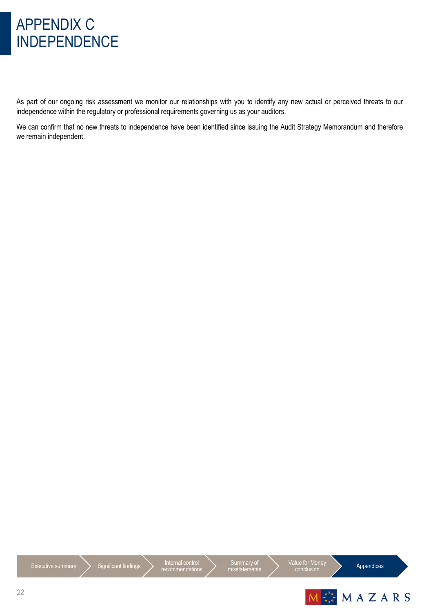# APPENDIX C INDEPENDENCE

As part of our ongoing risk assessment we monitor our relationships with you to identify any new actual or perceived threats to our independence within the regulatory or professional requirements governing us as your auditors.

We can confirm that no new threats to independence have been identified since issuing the Audit Strategy Memorandum and therefore we remain independent.



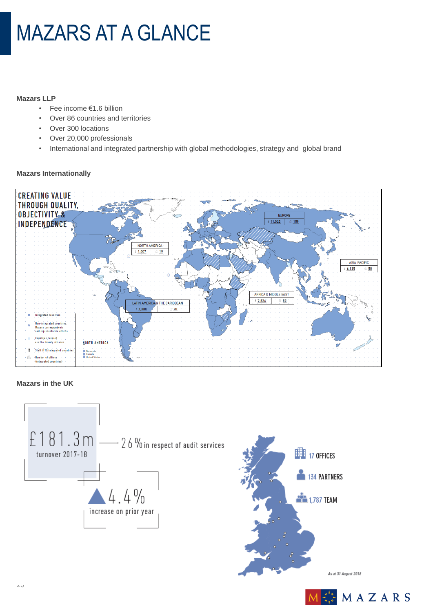# MAZARS AT A GLANCE

### **Mazars LLP**

- Fee income €1.6 billion
- Over 86 countries and territories
- Over 300 locations
- Over 20,000 professionals
- International and integrated partnership with global methodologies, strategy and global brand

### **Mazars Internationally**



### **Mazars in the UK**



As at 31 August 2018